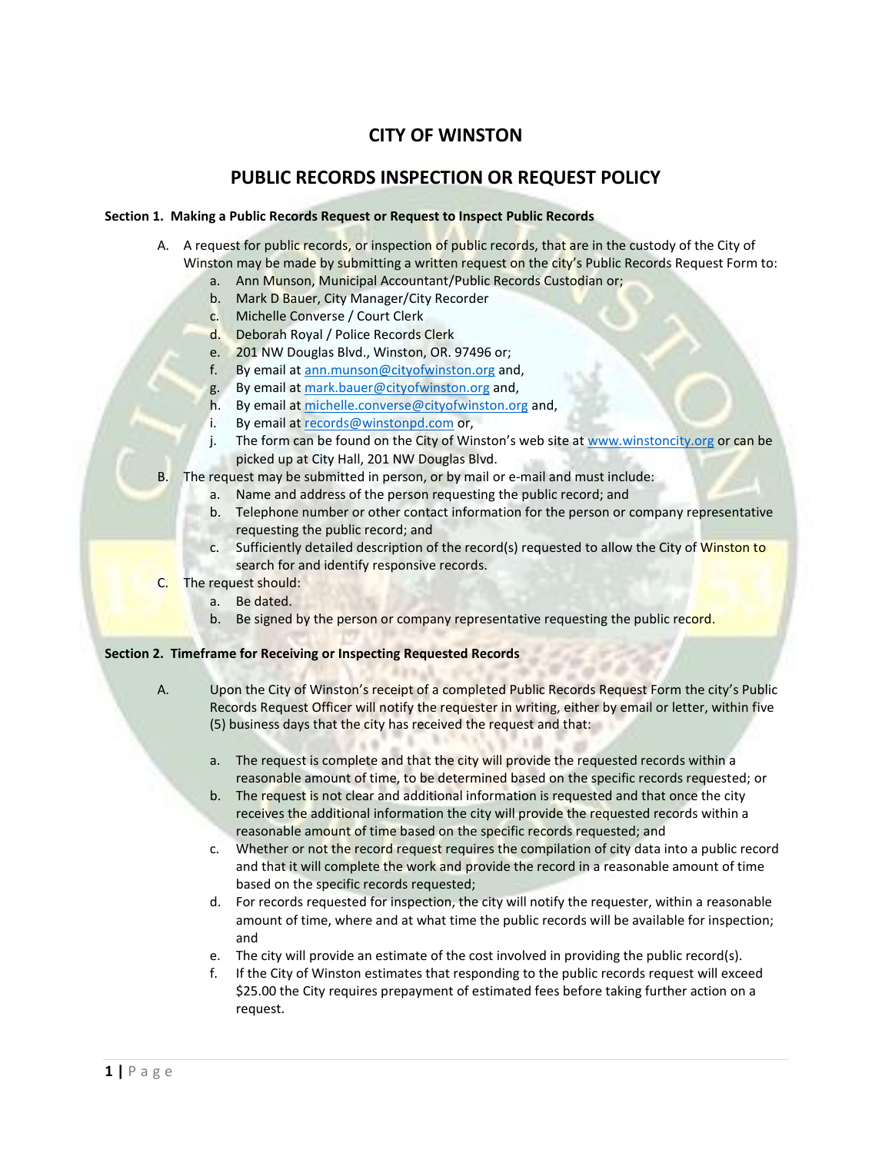# **CITY OF WINSTON**

## **PUBLIC RECORDS INSPECTION OR REQUEST POLICY**

## **Section 1. Making a Public Records Request or Request to Inspect Public Records**

- A. A request for public records, or inspection of public records, that are in the custody of the City of Winston may be made by submitting a written request on the city's Public Records Request Form to:
	- a. Ann Munson, Municipal Accountant/Public Records Custodian or;
	- b. Mark D Bauer, City Manager/City Recorder
	- c. Michelle Converse / Court Clerk
	- d. Deborah Royal / Police Records Clerk
	- e. 201 NW Douglas Blvd., Winston, OR. 97496 or;<br>f. Bv email at ann.munson@cityofwinston.org and
	- By email at [ann.munson@cityofwinston.org](mailto:ann.munson@cityofwinston.org) and,
	- g. By email at [mark.bauer@cityofwinston.org](mailto:mark.bauer@cityofwinston.org) and,
	- h. By email at [michelle.converse@cityofwinston.org](mailto:michelle.converse@cityofwinston.org) and,
	- i. By email at [records@winstonpd.com](mailto:records@winstonpd.com) or,
	- j. The form can be found on the City of Winston's web site a[t www.winstoncity.org](http://www.winstoncity.org/) or can be picked up at City Hall, 201 NW Douglas Blvd.
- B. The request may be submitted in person, or by mail or e-mail and must include:
	- a. Name and address of the person requesting the public record; and
		- b. Telephone number or other contact information for the person or company representative requesting the public record; and
		- c. Sufficiently detailed description of the record(s) requested to allow the City of Winston to search for and identify responsive records.
- C. The request should:
	- a. Be dated.
	- b. Be signed by the person or company representative requesting the public record.

## **Section 2. Timeframe for Receiving or Inspecting Requested Records**

- A. Upon the City of Winston's receipt of a completed Public Records Request Form the city's Public Records Request Officer will notify the requester in writing, either by email or letter, within five (5) business days that the city has received the request and that:
	- a. The request is complete and that the city will provide the requested records within a reasonable amount of time, to be determined based on the specific records requested; or
	- b. The request is not clear and additional information is requested and that once the city receives the additional information the city will provide the requested records within a reasonable amount of time based on the specific records requested; and
	- c. Whether or not the record request requires the compilation of city data into a public record and that it will complete the work and provide the record in a reasonable amount of time based on the specific records requested;
	- d. For records requested for inspection, the city will notify the requester, within a reasonable amount of time, where and at what time the public records will be available for inspection; and
	- e. The city will provide an estimate of the cost involved in providing the public record(s).
	- f. If the City of Winston estimates that responding to the public records request will exceed \$25.00 the City requires prepayment of estimated fees before taking further action on a request.